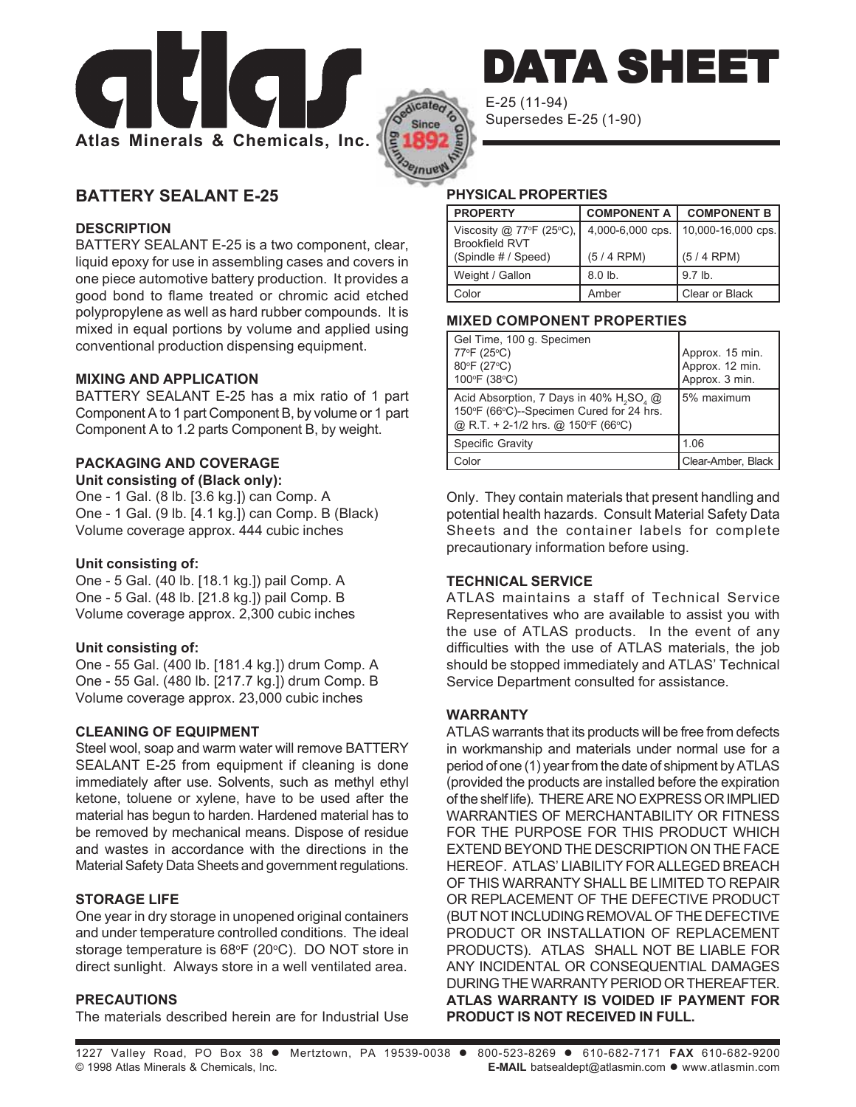



E-25 (11-94) Supersedes E-25 (1-90)

# **BATTERY SEALANT E-25**

### **DESCRIPTION**

BATTERY SEALANT E-25 is a two component, clear, liquid epoxy for use in assembling cases and covers in one piece automotive battery production. It provides a good bond to flame treated or chromic acid etched polypropylene as well as hard rubber compounds. It is mixed in equal portions by volume and applied using conventional production dispensing equipment.

#### **MIXING AND APPLICATION**

BATTERY SEALANT E-25 has a mix ratio of 1 part Component A to 1 part Component B, by volume or 1 part Component A to 1.2 parts Component B, by weight.

# **PACKAGING AND COVERAGE**

**Unit consisting of (Black only):** One - 1 Gal. (8 lb. [3.6 kg.]) can Comp. A One - 1 Gal. (9 lb. [4.1 kg.]) can Comp. B (Black) Volume coverage approx. 444 cubic inches

### **Unit consisting of:**

One - 5 Gal. (40 lb. [18.1 kg.]) pail Comp. A One - 5 Gal. (48 lb. [21.8 kg.]) pail Comp. B Volume coverage approx. 2,300 cubic inches

#### **Unit consisting of:**

One - 55 Gal. (400 lb. [181.4 kg.]) drum Comp. A One - 55 Gal. (480 lb. [217.7 kg.]) drum Comp. B Volume coverage approx. 23,000 cubic inches

#### **CLEANING OF EQUIPMENT**

Steel wool, soap and warm water will remove BATTERY SEALANT E-25 from equipment if cleaning is done immediately after use. Solvents, such as methyl ethyl ketone, toluene or xylene, have to be used after the material has begun to harden. Hardened material has to be removed by mechanical means. Dispose of residue and wastes in accordance with the directions in the Material Safety Data Sheets and government regulations.

## **STORAGE LIFE**

One year in dry storage in unopened original containers and under temperature controlled conditions. The ideal storage temperature is 68°F (20°C). DO NOT store in direct sunlight. Always store in a well ventilated area.

### **PRECAUTIONS**

The materials described herein are for Industrial Use

### **PHYSICAL PROPERTIES**

| <b>PROPERTY</b>                              | <b>COMPONENT A</b> | <b>COMPONENT B</b> |
|----------------------------------------------|--------------------|--------------------|
| Viscosity $@$ 77°F (25°C),<br>Brookfield RVT | 4,000-6,000 cps.   | 10,000-16,000 cps. |
| (Spindle # / Speed)                          | $(5/4$ RPM)        | $(5/4$ RPM)        |
| Weight / Gallon                              | $8.0$ lb.          | $9.7$ lb.          |
| Color                                        | Amber              | Clear or Black     |

DATA SHEET

#### **MIXED COMPONENT PROPERTIES**

| Gel Time, 100 g. Specimen<br>77°F (25°C)<br>80°F (27°C)<br>100°F (38°C)                                                                           | Approx. 15 min.<br>Approx. 12 min.<br>Approx. 3 min. |
|---------------------------------------------------------------------------------------------------------------------------------------------------|------------------------------------------------------|
| Acid Absorption, 7 Days in 40% H <sub>2</sub> SO <sub>4</sub> @<br>150°F (66°C)--Specimen Cured for 24 hrs.<br>@ R.T. + 2-1/2 hrs. @ 150°F (66°C) | 5% maximum                                           |
| Specific Gravity                                                                                                                                  | 1.06                                                 |
| Color                                                                                                                                             | Clear-Amber, Black                                   |

Only. They contain materials that present handling and potential health hazards. Consult Material Safety Data Sheets and the container labels for complete precautionary information before using.

### **TECHNICAL SERVICE**

ATLAS maintains a staff of Technical Service Representatives who are available to assist you with the use of ATLAS products. In the event of any difficulties with the use of ATLAS materials, the job should be stopped immediately and ATLAS' Technical Service Department consulted for assistance.

#### **WARRANTY**

ATLAS warrants that its products will be free from defects in workmanship and materials under normal use for a period of one (1) year from the date of shipment by ATLAS (provided the products are installed before the expiration of the shelf life). THERE ARE NO EXPRESS OR IMPLIED WARRANTIES OF MERCHANTABILITY OR FITNESS FOR THE PURPOSE FOR THIS PRODUCT WHICH EXTEND BEYOND THE DESCRIPTION ON THE FACE HEREOF. ATLAS' LIABILITY FOR ALLEGED BREACH OF THIS WARRANTY SHALL BE LIMITED TO REPAIR OR REPLACEMENT OF THE DEFECTIVE PRODUCT (BUT NOT INCLUDING REMOVAL OF THE DEFECTIVE PRODUCT OR INSTALLATION OF REPLACEMENT PRODUCTS). ATLAS SHALL NOT BE LIABLE FOR ANY INCIDENTAL OR CONSEQUENTIAL DAMAGES DURING THE WARRANTY PERIOD OR THEREAFTER. **ATLAS WARRANTY IS VOIDED IF PAYMENT FOR PRODUCT IS NOT RECEIVED IN FULL.**